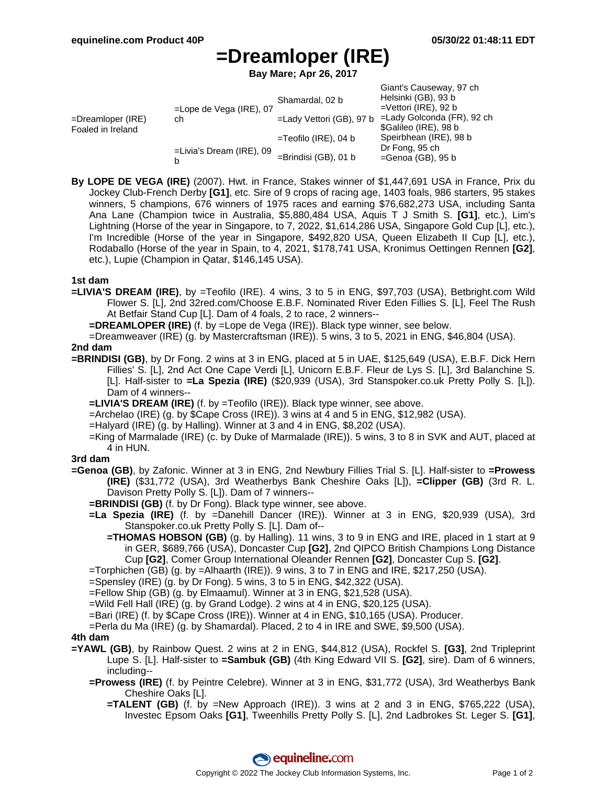Giant's Causeway, 97 ch

# **=Dreamloper (IRE)**

**Bay Mare; Apr 26, 2017**

|                                        |                                  |                             | <b>Uldille Caustway</b> , 97 UI |
|----------------------------------------|----------------------------------|-----------------------------|---------------------------------|
| =Dreamloper (IRE)<br>Foaled in Ireland | $=$ Lope de Vega (IRE), 07<br>ch | Shamardal, 02 b             | Helsinki (GB), 93 b             |
|                                        |                                  |                             | $=$ Vettori (IRE), 92 b         |
|                                        |                                  | $=$ Lady Vettori (GB), 97 b | =Lady Golconda (FR), 92 ch      |
|                                        |                                  |                             | \$Galileo (IRE), 98 b           |
|                                        |                                  | $=$ Teofilo (IRE), 04 b     | Speirbhean (IRE), 98 b          |
|                                        | $=$ Livia's Dream (IRE), 09<br>b |                             | Dr Fong, 95 ch                  |
|                                        |                                  | $=$ Brindisi (GB), 01 b     | $=$ Genoa (GB), 95 b            |
|                                        |                                  |                             |                                 |

**By LOPE DE VEGA (IRE)** (2007). Hwt. in France, Stakes winner of \$1,447,691 USA in France, Prix du Jockey Club-French Derby **[G1]**, etc. Sire of 9 crops of racing age, 1403 foals, 986 starters, 95 stakes winners, 5 champions, 676 winners of 1975 races and earning \$76,682,273 USA, including Santa Ana Lane (Champion twice in Australia, \$5,880,484 USA, Aquis T J Smith S. **[G1]**, etc.), Lim's Lightning (Horse of the year in Singapore, to 7, 2022, \$1,614,286 USA, Singapore Gold Cup [L], etc.), I'm Incredible (Horse of the year in Singapore, \$492,820 USA, Queen Elizabeth II Cup [L], etc.), Rodaballo (Horse of the year in Spain, to 4, 2021, \$178,741 USA, Kronimus Oettingen Rennen **[G2]**, etc.), Lupie (Champion in Qatar, \$146,145 USA).

### **1st dam**

**=LIVIA'S DREAM (IRE)**, by =Teofilo (IRE). 4 wins, 3 to 5 in ENG, \$97,703 (USA), Betbright.com Wild Flower S. [L], 2nd 32red.com/Choose E.B.F. Nominated River Eden Fillies S. [L], Feel The Rush At Betfair Stand Cup [L]. Dam of 4 foals, 2 to race, 2 winners--

**=DREAMLOPER (IRE)** (f. by =Lope de Vega (IRE)). Black type winner, see below.

=Dreamweaver (IRE) (g. by Mastercraftsman (IRE)). 5 wins, 3 to 5, 2021 in ENG, \$46,804 (USA).

### **2nd dam**

**=BRINDISI (GB)**, by Dr Fong. 2 wins at 3 in ENG, placed at 5 in UAE, \$125,649 (USA), E.B.F. Dick Hern Fillies' S. [L], 2nd Act One Cape Verdi [L], Unicorn E.B.F. Fleur de Lys S. [L], 3rd Balanchine S. [L]. Half-sister to **=La Spezia (IRE)** (\$20,939 (USA), 3rd Stanspoker.co.uk Pretty Polly S. [L]). Dam of 4 winners--

**=LIVIA'S DREAM (IRE)** (f. by =Teofilo (IRE)). Black type winner, see above.

=Archelao (IRE) (g. by \$Cape Cross (IRE)). 3 wins at 4 and 5 in ENG, \$12,982 (USA).

- =Halyard (IRE) (g. by Halling). Winner at 3 and 4 in ENG, \$8,202 (USA).
- =King of Marmalade (IRE) (c. by Duke of Marmalade (IRE)). 5 wins, 3 to 8 in SVK and AUT, placed at 4 in HUN.

### **3rd dam**

- **=Genoa (GB)**, by Zafonic. Winner at 3 in ENG, 2nd Newbury Fillies Trial S. [L]. Half-sister to **=Prowess (IRE)** (\$31,772 (USA), 3rd Weatherbys Bank Cheshire Oaks [L]), **=Clipper (GB)** (3rd R. L. Davison Pretty Polly S. [L]). Dam of 7 winners--
	- **=BRINDISI (GB)** (f. by Dr Fong). Black type winner, see above.
	- **=La Spezia (IRE)** (f. by =Danehill Dancer (IRE)). Winner at 3 in ENG, \$20,939 (USA), 3rd Stanspoker.co.uk Pretty Polly S. [L]. Dam of--
		- **=THOMAS HOBSON (GB)** (g. by Halling). 11 wins, 3 to 9 in ENG and IRE, placed in 1 start at 9 in GER, \$689,766 (USA), Doncaster Cup **[G2]**, 2nd QIPCO British Champions Long Distance Cup **[G2]**, Comer Group International Oleander Rennen **[G2]**, Doncaster Cup S. **[G2]**.
	- =Torphichen (GB) (g. by =Alhaarth (IRE)). 9 wins, 3 to 7 in ENG and IRE, \$217,250 (USA).

=Spensley (IRE) (g. by Dr Fong). 5 wins, 3 to 5 in ENG, \$42,322 (USA).

=Fellow Ship (GB) (g. by Elmaamul). Winner at 3 in ENG, \$21,528 (USA).

=Wild Fell Hall (IRE) (g. by Grand Lodge). 2 wins at 4 in ENG, \$20,125 (USA).

=Bari (IRE) (f. by \$Cape Cross (IRE)). Winner at 4 in ENG, \$10,165 (USA). Producer.

=Perla du Ma (IRE) (g. by Shamardal). Placed, 2 to 4 in IRE and SWE, \$9,500 (USA).

#### **4th dam**

- **=YAWL (GB)**, by Rainbow Quest. 2 wins at 2 in ENG, \$44,812 (USA), Rockfel S. **[G3]**, 2nd Tripleprint Lupe S. [L]. Half-sister to **=Sambuk (GB)** (4th King Edward VII S. **[G2]**, sire). Dam of 6 winners, including--
	- **=Prowess (IRE)** (f. by Peintre Celebre). Winner at 3 in ENG, \$31,772 (USA), 3rd Weatherbys Bank Cheshire Oaks [L].
		- **=TALENT (GB)** (f. by =New Approach (IRE)). 3 wins at 2 and 3 in ENG, \$765,222 (USA), Investec Epsom Oaks **[G1]**, Tweenhills Pretty Polly S. [L], 2nd Ladbrokes St. Leger S. **[G1]**,